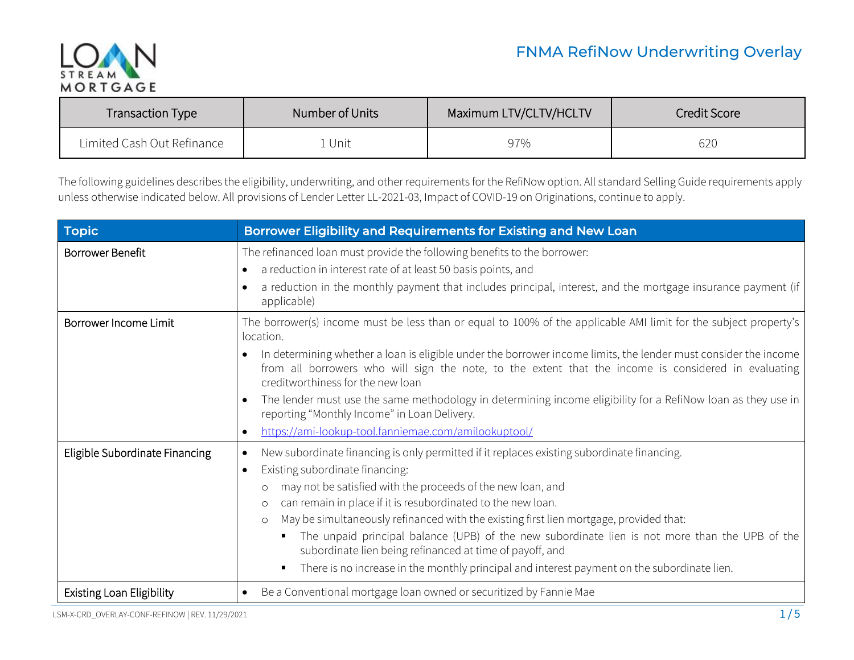

| <b>Transaction Type</b>    | Number of Units | Maximum LTV/CLTV/HCLTV | Credit Score |
|----------------------------|-----------------|------------------------|--------------|
| Limited Cash Out Refinance | Unit            | 97%                    | 620          |

The following guidelines describes the eligibility, underwriting, and other requirements for the RefiNow option. All standard Selling Guide requirements apply unless otherwise indicated below. All provisions of Lender Letter LL-2021-03, Impact of COVID-19 on Originations, continue to apply.

| <b>Topic</b>                                     | Borrower Eligibility and Requirements for Existing and New Loan                                                                                                                                                                                                        |
|--------------------------------------------------|------------------------------------------------------------------------------------------------------------------------------------------------------------------------------------------------------------------------------------------------------------------------|
| <b>Borrower Benefit</b>                          | The refinanced loan must provide the following benefits to the borrower:<br>a reduction in interest rate of at least 50 basis points, and<br>$\bullet$<br>a reduction in the monthly payment that includes principal, interest, and the mortgage insurance payment (if |
|                                                  | applicable)                                                                                                                                                                                                                                                            |
| Borrower Income Limit                            | The borrower(s) income must be less than or equal to 100% of the applicable AMI limit for the subject property's<br>location.                                                                                                                                          |
|                                                  | In determining whether a loan is eligible under the borrower income limits, the lender must consider the income<br>from all borrowers who will sign the note, to the extent that the income is considered in evaluating<br>creditworthiness for the new loan           |
|                                                  | The lender must use the same methodology in determining income eligibility for a RefiNow loan as they use in<br>reporting "Monthly Income" in Loan Delivery.                                                                                                           |
|                                                  | https://ami-lookup-tool.fanniemae.com/amilookuptool/<br>$\bullet$                                                                                                                                                                                                      |
| Eligible Subordinate Financing                   | New subordinate financing is only permitted if it replaces existing subordinate financing.<br>$\bullet$                                                                                                                                                                |
|                                                  | Existing subordinate financing:<br>$\bullet$                                                                                                                                                                                                                           |
|                                                  | may not be satisfied with the proceeds of the new loan, and<br>$\circ$                                                                                                                                                                                                 |
|                                                  | can remain in place if it is resubordinated to the new loan.<br>$\circ$                                                                                                                                                                                                |
|                                                  | May be simultaneously refinanced with the existing first lien mortgage, provided that:<br>$\circ$<br>The unpaid principal balance (UPB) of the new subordinate lien is not more than the UPB of the<br>subordinate lien being refinanced at time of payoff, and        |
|                                                  | There is no increase in the monthly principal and interest payment on the subordinate lien.                                                                                                                                                                            |
| <b>Existing Loan Eligibility</b>                 | Be a Conventional mortgage loan owned or securitized by Fannie Mae<br>$\bullet$                                                                                                                                                                                        |
| LSM-X-CRD_OVERLAY-CONF-REFINOW   REV. 11/29/2021 | 1/5                                                                                                                                                                                                                                                                    |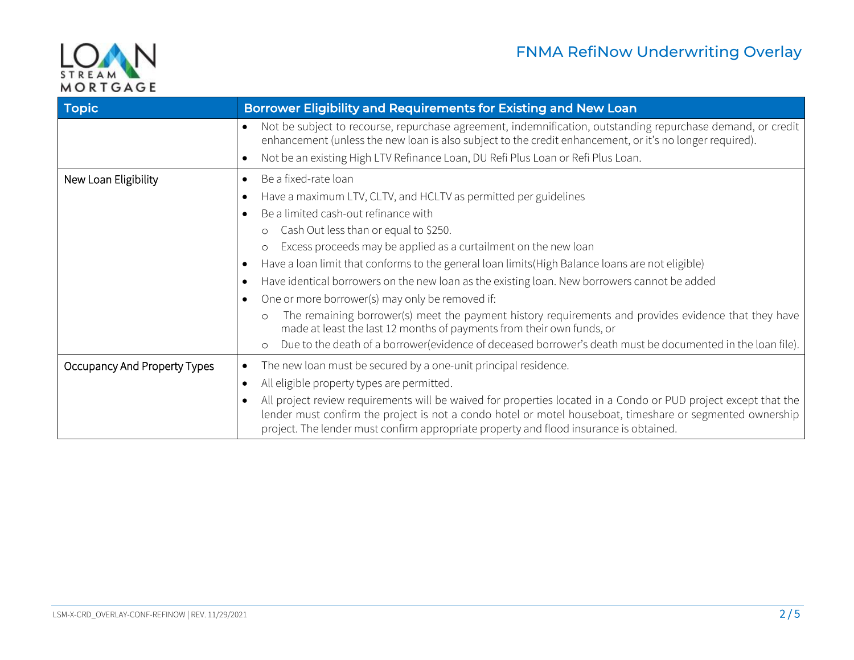

| Topic                        | Borrower Eligibility and Requirements for Existing and New Loan                                                                                                                                                                                                                                                        |
|------------------------------|------------------------------------------------------------------------------------------------------------------------------------------------------------------------------------------------------------------------------------------------------------------------------------------------------------------------|
|                              | Not be subject to recourse, repurchase agreement, indemnification, outstanding repurchase demand, or credit<br>enhancement (unless the new loan is also subject to the credit enhancement, or it's no longer required).                                                                                                |
|                              | Not be an existing High LTV Refinance Loan, DU Refi Plus Loan or Refi Plus Loan.<br>$\bullet$                                                                                                                                                                                                                          |
| New Loan Eligibility         | Be a fixed-rate loan<br>$\bullet$                                                                                                                                                                                                                                                                                      |
|                              | Have a maximum LTV, CLTV, and HCLTV as permitted per guidelines                                                                                                                                                                                                                                                        |
|                              | Be a limited cash-out refinance with                                                                                                                                                                                                                                                                                   |
|                              | Cash Out less than or equal to \$250.<br>$\circ$                                                                                                                                                                                                                                                                       |
|                              | Excess proceeds may be applied as a curtailment on the new loan<br>$\circ$                                                                                                                                                                                                                                             |
|                              | Have a loan limit that conforms to the general loan limits (High Balance loans are not eligible)                                                                                                                                                                                                                       |
|                              | Have identical borrowers on the new loan as the existing loan. New borrowers cannot be added<br>$\bullet$                                                                                                                                                                                                              |
|                              | One or more borrower(s) may only be removed if:                                                                                                                                                                                                                                                                        |
|                              | The remaining borrower(s) meet the payment history requirements and provides evidence that they have<br>$\Omega$<br>made at least the last 12 months of payments from their own funds, or                                                                                                                              |
|                              | Due to the death of a borrower(evidence of deceased borrower's death must be documented in the loan file).<br>$\circ$                                                                                                                                                                                                  |
| Occupancy And Property Types | The new loan must be secured by a one-unit principal residence.<br>$\bullet$                                                                                                                                                                                                                                           |
|                              | All eligible property types are permitted.<br>$\bullet$                                                                                                                                                                                                                                                                |
|                              | All project review requirements will be waived for properties located in a Condo or PUD project except that the<br>lender must confirm the project is not a condo hotel or motel houseboat, timeshare or segmented ownership<br>project. The lender must confirm appropriate property and flood insurance is obtained. |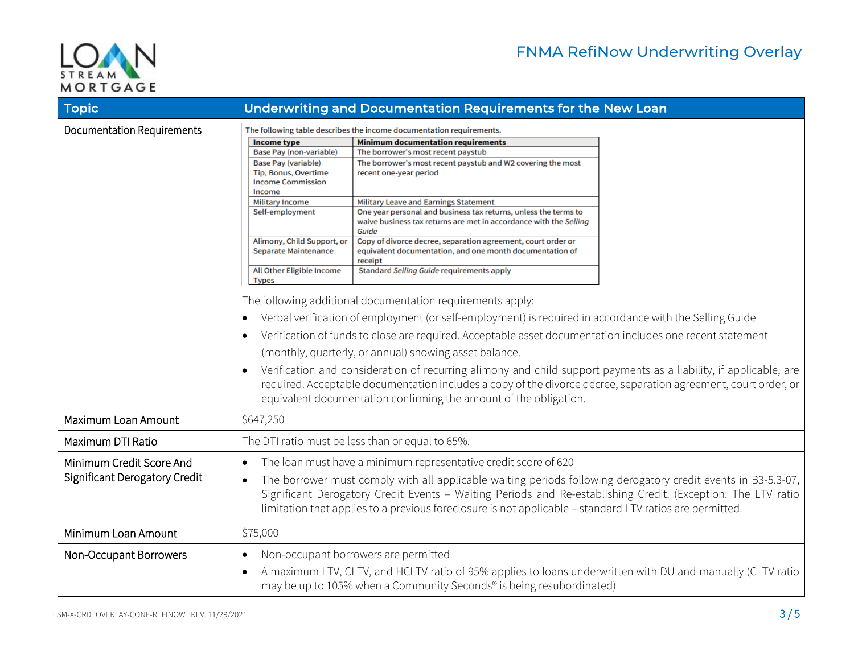

| <b>Topic</b>                                              | Underwriting and Documentation Requirements for the New Loan                                                                                                                                                                                                                                                                                                                                                                                                                                                                                                                                                                                                                                                                                                                                                                                                                                                                                                                                                                                                                                                                                                                                                                                                                                                                                                                                                                                                                                                                                                                                                 |  |
|-----------------------------------------------------------|--------------------------------------------------------------------------------------------------------------------------------------------------------------------------------------------------------------------------------------------------------------------------------------------------------------------------------------------------------------------------------------------------------------------------------------------------------------------------------------------------------------------------------------------------------------------------------------------------------------------------------------------------------------------------------------------------------------------------------------------------------------------------------------------------------------------------------------------------------------------------------------------------------------------------------------------------------------------------------------------------------------------------------------------------------------------------------------------------------------------------------------------------------------------------------------------------------------------------------------------------------------------------------------------------------------------------------------------------------------------------------------------------------------------------------------------------------------------------------------------------------------------------------------------------------------------------------------------------------------|--|
| <b>Documentation Requirements</b>                         | The following table describes the income documentation requirements.<br><b>Income type</b><br><b>Minimum documentation requirements</b><br>Base Pay (non-variable)<br>The borrower's most recent paystub<br><b>Base Pay (variable)</b><br>The borrower's most recent paystub and W2 covering the most<br>Tip, Bonus, Overtime<br>recent one-year period<br><b>Income Commission</b><br>Income<br><b>Military Income</b><br><b>Military Leave and Earnings Statement</b><br>One year personal and business tax returns, unless the terms to<br>Self-employment<br>waive business tax returns are met in accordance with the Selling<br>Guide<br>Copy of divorce decree, separation agreement, court order or<br>Alimony, Child Support, or<br>Separate Maintenance<br>equivalent documentation, and one month documentation of<br>receipt<br>All Other Eligible Income<br>Standard Selling Guide requirements apply<br><b>Types</b><br>The following additional documentation requirements apply:<br>Verbal verification of employment (or self-employment) is required in accordance with the Selling Guide<br>Verification of funds to close are required. Acceptable asset documentation includes one recent statement<br>(monthly, quarterly, or annual) showing asset balance.<br>Verification and consideration of recurring alimony and child support payments as a liability, if applicable, are<br>$\bullet$<br>required. Acceptable documentation includes a copy of the divorce decree, separation agreement, court order, or<br>equivalent documentation confirming the amount of the obligation. |  |
| Maximum Loan Amount                                       | \$647,250                                                                                                                                                                                                                                                                                                                                                                                                                                                                                                                                                                                                                                                                                                                                                                                                                                                                                                                                                                                                                                                                                                                                                                                                                                                                                                                                                                                                                                                                                                                                                                                                    |  |
| Maximum DTI Ratio                                         | The DTI ratio must be less than or equal to 65%.                                                                                                                                                                                                                                                                                                                                                                                                                                                                                                                                                                                                                                                                                                                                                                                                                                                                                                                                                                                                                                                                                                                                                                                                                                                                                                                                                                                                                                                                                                                                                             |  |
| Minimum Credit Score And<br>Significant Derogatory Credit | The loan must have a minimum representative credit score of 620<br>$\bullet$<br>The borrower must comply with all applicable waiting periods following derogatory credit events in B3-5.3-07,<br>$\bullet$<br>Significant Derogatory Credit Events - Waiting Periods and Re-establishing Credit. (Exception: The LTV ratio<br>limitation that applies to a previous foreclosure is not applicable - standard LTV ratios are permitted.                                                                                                                                                                                                                                                                                                                                                                                                                                                                                                                                                                                                                                                                                                                                                                                                                                                                                                                                                                                                                                                                                                                                                                       |  |
| Minimum Loan Amount                                       | \$75,000                                                                                                                                                                                                                                                                                                                                                                                                                                                                                                                                                                                                                                                                                                                                                                                                                                                                                                                                                                                                                                                                                                                                                                                                                                                                                                                                                                                                                                                                                                                                                                                                     |  |
| Non-Occupant Borrowers                                    | Non-occupant borrowers are permitted.<br>$\bullet$<br>A maximum LTV, CLTV, and HCLTV ratio of 95% applies to loans underwritten with DU and manually (CLTV ratio<br>$\bullet$<br>may be up to 105% when a Community Seconds <sup>®</sup> is being resubordinated)                                                                                                                                                                                                                                                                                                                                                                                                                                                                                                                                                                                                                                                                                                                                                                                                                                                                                                                                                                                                                                                                                                                                                                                                                                                                                                                                            |  |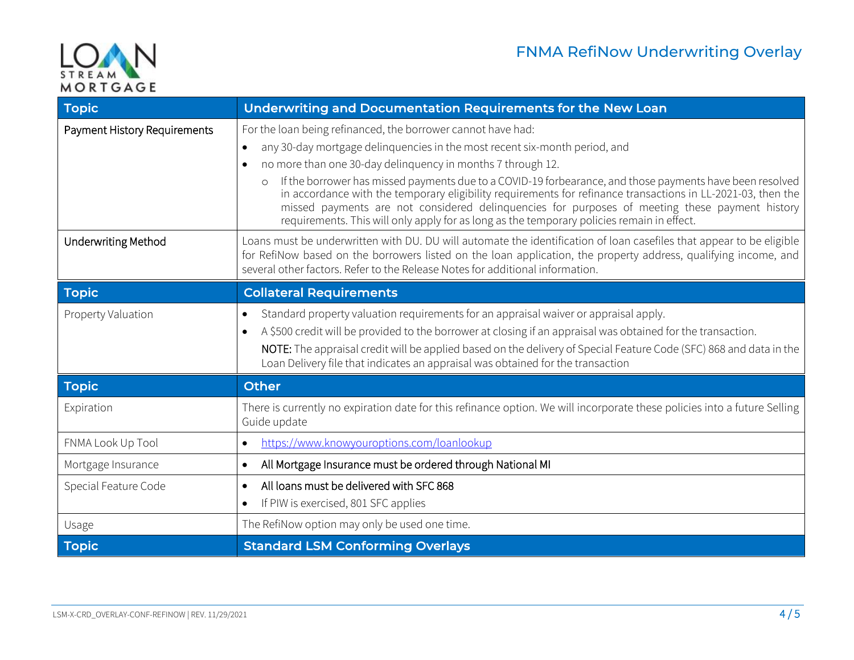

| Topic                        | Underwriting and Documentation Requirements for the New Loan                                                                                                                                                                                                                                                                                                                                                                                                                                                                                                                                                                                                               |
|------------------------------|----------------------------------------------------------------------------------------------------------------------------------------------------------------------------------------------------------------------------------------------------------------------------------------------------------------------------------------------------------------------------------------------------------------------------------------------------------------------------------------------------------------------------------------------------------------------------------------------------------------------------------------------------------------------------|
| Payment History Requirements | For the loan being refinanced, the borrower cannot have had:<br>any 30-day mortgage delinquencies in the most recent six-month period, and<br>$\bullet$<br>no more than one 30-day delinguency in months 7 through 12.<br>$\bullet$<br>If the borrower has missed payments due to a COVID-19 forbearance, and those payments have been resolved<br>$\circ$<br>in accordance with the temporary eligibility requirements for refinance transactions in LL-2021-03, then the<br>missed payments are not considered delinquencies for purposes of meeting these payment history<br>requirements. This will only apply for as long as the temporary policies remain in effect. |
| <b>Underwriting Method</b>   | Loans must be underwritten with DU. DU will automate the identification of loan casefiles that appear to be eligible<br>for RefiNow based on the borrowers listed on the loan application, the property address, qualifying income, and<br>several other factors. Refer to the Release Notes for additional information.                                                                                                                                                                                                                                                                                                                                                   |
| <b>Topic</b>                 | <b>Collateral Requirements</b>                                                                                                                                                                                                                                                                                                                                                                                                                                                                                                                                                                                                                                             |
| Property Valuation           | Standard property valuation requirements for an appraisal waiver or appraisal apply.<br>$\bullet$<br>A \$500 credit will be provided to the borrower at closing if an appraisal was obtained for the transaction.<br>$\bullet$<br>NOTE: The appraisal credit will be applied based on the delivery of Special Feature Code (SFC) 868 and data in the<br>Loan Delivery file that indicates an appraisal was obtained for the transaction                                                                                                                                                                                                                                    |
| Topic                        | <b>Other</b>                                                                                                                                                                                                                                                                                                                                                                                                                                                                                                                                                                                                                                                               |
| Expiration                   | There is currently no expiration date for this refinance option. We will incorporate these policies into a future Selling<br>Guide update                                                                                                                                                                                                                                                                                                                                                                                                                                                                                                                                  |
| FNMA Look Up Tool            | https://www.knowyouroptions.com/loanlookup<br>$\bullet$                                                                                                                                                                                                                                                                                                                                                                                                                                                                                                                                                                                                                    |
| Mortgage Insurance           | All Mortgage Insurance must be ordered through National MI<br>$\bullet$                                                                                                                                                                                                                                                                                                                                                                                                                                                                                                                                                                                                    |
| Special Feature Code         | All loans must be delivered with SFC 868<br>If PIW is exercised, 801 SFC applies<br>$\bullet$                                                                                                                                                                                                                                                                                                                                                                                                                                                                                                                                                                              |
| Usage                        | The RefiNow option may only be used one time.                                                                                                                                                                                                                                                                                                                                                                                                                                                                                                                                                                                                                              |
| <b>Topic</b>                 | <b>Standard LSM Conforming Overlays</b>                                                                                                                                                                                                                                                                                                                                                                                                                                                                                                                                                                                                                                    |